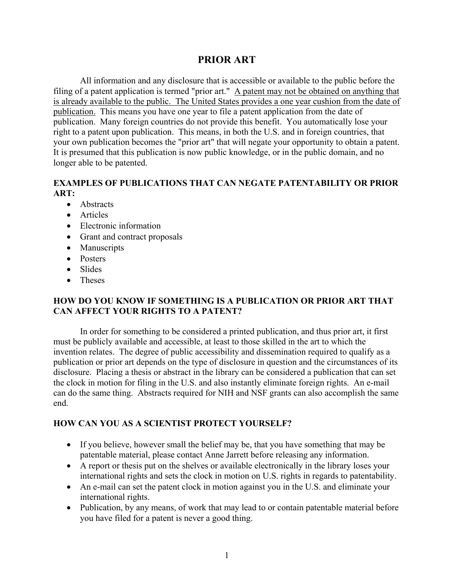## **PRIOR ART**

All information and any disclosure that is accessible or available to the public before the filing of a patent application is termed "prior art." A patent may not be obtained on anything that is already available to the public. The United States provides a one year cushion from the date of publication. This means you have one year to file a patent application from the date of publication. Many foreign countries do not provide this benefit. You automatically lose your right to a patent upon publication. This means, in both the U.S. and in foreign countries, that your own publication becomes the "prior art" that will negate your opportunity to obtain a patent. It is presumed that this publication is now public knowledge, or in the public domain, and no longer able to be patented.

## **EXAMPLES OF PUBLICATIONS THAT CAN NEGATE PATENTABILITY OR PRIOR ART:**

- Abstracts
- Articles
- Electronic information
- Grant and contract proposals
- Manuscripts
- Posters
- Slides
- Theses

## **HOW DO YOU KNOW IF SOMETHING IS A PUBLICATION OR PRIOR ART THAT CAN AFFECT YOUR RIGHTS TO A PATENT?**

In order for something to be considered a printed publication, and thus prior art, it first must be publicly available and accessible, at least to those skilled in the art to which the invention relates. The degree of public accessibility and dissemination required to qualify as a publication or prior art depends on the type of disclosure in question and the circumstances of its disclosure. Placing a thesis or abstract in the library can be considered a publication that can set the clock in motion for filing in the U.S. and also instantly eliminate foreign rights. An e-mail can do the same thing. Abstracts required for NIH and NSF grants can also accomplish the same end.

## **HOW CAN YOU AS A SCIENTIST PROTECT YOURSELF?**

- If you believe, however small the belief may be, that you have something that may be patentable material, please contact Anne Jarrett before releasing any information.
- A report or thesis put on the shelves or available electronically in the library loses your international rights and sets the clock in motion on U.S. rights in regards to patentability.
- An e-mail can set the patent clock in motion against you in the U.S. and eliminate your international rights.
- Publication, by any means, of work that may lead to or contain patentable material before you have filed for a patent is never a good thing.